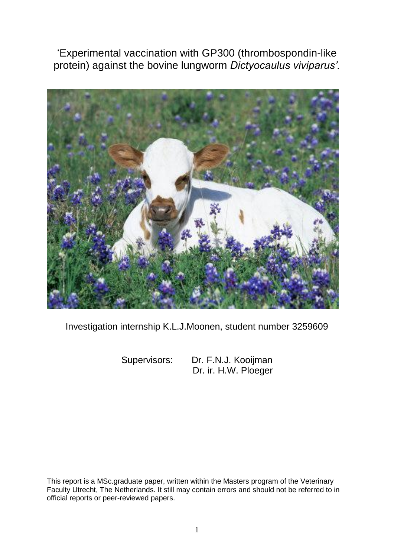'Experimental vaccination with GP300 (thrombospondin-like protein) against the bovine lungworm *Dictyocaulus viviparus'.* 



Investigation internship K.L.J.Moonen, student number 3259609

Supervisors: Dr. F.N.J. Kooijman Dr. ir. H.W. Ploeger

This report is a MSc.graduate paper, written within the Masters program of the Veterinary Faculty Utrecht, The Netherlands. It still may contain errors and should not be referred to in official reports or peer-reviewed papers.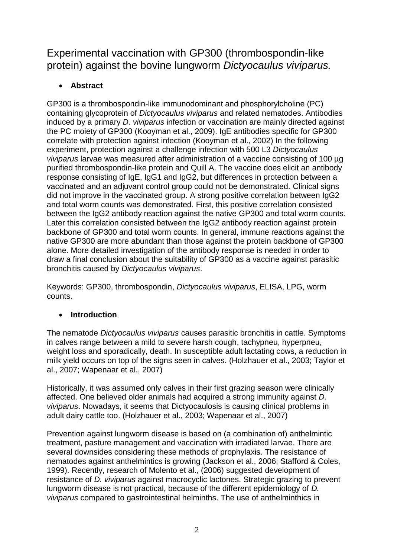Experimental vaccination with GP300 (thrombospondin-like protein) against the bovine lungworm *Dictyocaulus viviparus.*

# **Abstract**

GP300 is a thrombospondin-like immunodominant and phosphorylcholine (PC) containing glycoprotein of *Dictyocaulus viviparus* and related nematodes. Antibodies induced by a primary *D. viviparus* infection or vaccination are mainly directed against the PC moiety of GP300 (Kooyman et al., 2009). IgE antibodies specific for GP300 correlate with protection against infection (Kooyman et al., 2002) In the following experiment, protection against a challenge infection with 500 L3 *Dictyocaulus viviparus* larvae was measured after administration of a vaccine consisting of 100 µg purified thrombospondin-like protein and Quill A. The vaccine does elicit an antibody response consisting of IgE, IgG1 and IgG2, but differences in protection between a vaccinated and an adjuvant control group could not be demonstrated. Clinical signs did not improve in the vaccinated group. A strong positive correlation between IgG2 and total worm counts was demonstrated. First, this positive correlation consisted between the IgG2 antibody reaction against the native GP300 and total worm counts. Later this correlation consisted between the IgG2 antibody reaction against protein backbone of GP300 and total worm counts. In general, immune reactions against the native GP300 are more abundant than those against the protein backbone of GP300 alone. More detailed investigation of the antibody response is needed in order to draw a final conclusion about the suitability of GP300 as a vaccine against parasitic bronchitis caused by *Dictyocaulus viviparus*.

Keywords: GP300, thrombospondin, *Dictyocaulus viviparus*, ELISA, LPG, worm counts.

# **Introduction**

The nematode *Dictyocaulus viviparus* causes parasitic bronchitis in cattle. Symptoms in calves range between a mild to severe harsh cough, tachypneu, hyperpneu, weight loss and sporadically, death. In susceptible adult lactating cows, a reduction in milk yield occurs on top of the signs seen in calves. (Holzhauer et al., 2003; Taylor et al., 2007; Wapenaar et al., 2007)

Historically, it was assumed only calves in their first grazing season were clinically affected. One believed older animals had acquired a strong immunity against *D. viviparus*. Nowadays, it seems that Dictyocaulosis is causing clinical problems in adult dairy cattle too. (Holzhauer et al., 2003; Wapenaar et al., 2007)

Prevention against lungworm disease is based on (a combination of) anthelmintic treatment, pasture management and vaccination with irradiated larvae. There are several downsides considering these methods of prophylaxis. The resistance of nematodes against anthelmintics is growing (Jackson et al., 2006; Stafford & Coles, 1999). Recently, research of Molento et al., (2006) suggested development of resistance of *D. viviparus* against macrocyclic lactones. Strategic grazing to prevent lungworm disease is not practical, because of the different epidemiology of *D. viviparus* compared to gastrointestinal helminths. The use of anthelminthics in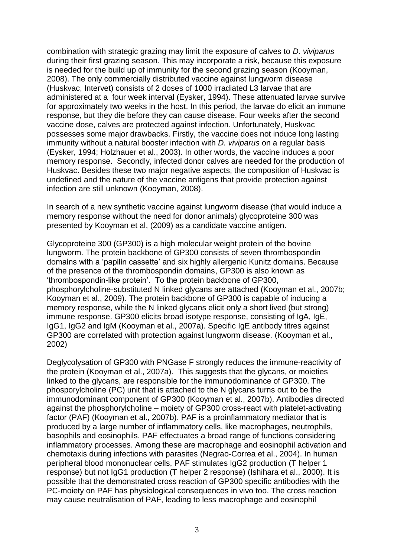combination with strategic grazing may limit the exposure of calves to *D. viviparus*  during their first grazing season. This may incorporate a risk, because this exposure is needed for the build up of immunity for the second grazing season (Kooyman, 2008). The only commercially distributed vaccine against lungworm disease (Huskvac, Intervet) consists of 2 doses of 1000 irradiated L3 larvae that are administered at a four week interval (Eysker, 1994). These attenuated larvae survive for approximately two weeks in the host. In this period, the larvae do elicit an immune response, but they die before they can cause disease. Four weeks after the second vaccine dose, calves are protected against infection. Unfortunately, Huskvac possesses some major drawbacks. Firstly, the vaccine does not induce long lasting immunity without a natural booster infection with *D. viviparus* on a regular basis (Eysker, 1994; Holzhauer et al., 2003)*.* In other words, the vaccine induces a poor memory response. Secondly, infected donor calves are needed for the production of Huskvac. Besides these two major negative aspects, the composition of Huskvac is undefined and the nature of the vaccine antigens that provide protection against infection are still unknown (Kooyman, 2008).

In search of a new synthetic vaccine against lungworm disease (that would induce a memory response without the need for donor animals) glycoproteine 300 was presented by Kooyman et al, (2009) as a candidate vaccine antigen.

Glycoproteine 300 (GP300) is a high molecular weight protein of the bovine lungworm. The protein backbone of GP300 consists of seven thrombospondin domains with a 'papilin cassette' and six highly allergenic Kunitz domains. Because of the presence of the thrombospondin domains, GP300 is also known as 'thrombospondin-like protein'. To the protein backbone of GP300, phosphorylcholine-substituted N linked glycans are attached (Kooyman et al., 2007b; Kooyman et al., 2009). The protein backbone of GP300 is capable of inducing a memory response, while the N linked glycans elicit only a short lived (but strong) immune response. GP300 elicits broad isotype response, consisting of IgA, IgE, IgG1, IgG2 and IgM (Kooyman et al., 2007a). Specific IgE antibody titres against GP300 are correlated with protection against lungworm disease. (Kooyman et al., 2002)

Deglycolysation of GP300 with PNGase F strongly reduces the immune-reactivity of the protein (Kooyman et al., 2007a). This suggests that the glycans, or moieties linked to the glycans, are responsible for the immunodominance of GP300. The phosporylcholine (PC) unit that is attached to the N glycans turns out to be the immunodominant component of GP300 (Kooyman et al., 2007b). Antibodies directed against the phosphorylcholine – moiety of GP300 cross-react with platelet-activating factor (PAF) (Kooyman et al., 2007b). PAF is a proinflammatory mediator that is produced by a large number of inflammatory cells, like macrophages, neutrophils, basophils and eosinophils. PAF effectuates a broad range of functions considering inflammatory processes. Among these are macrophage and eosinophil activation and chemotaxis during infections with parasites (Negrao-Correa et al., 2004). In human peripheral blood mononuclear cells, PAF stimulates IgG2 production (T helper 1 response) but not IgG1 production (T helper 2 response) (Ishihara et al., 2000). It is possible that the demonstrated cross reaction of GP300 specific antibodies with the PC-moiety on PAF has physiological consequences in vivo too. The cross reaction may cause neutralisation of PAF, leading to less macrophage and eosinophil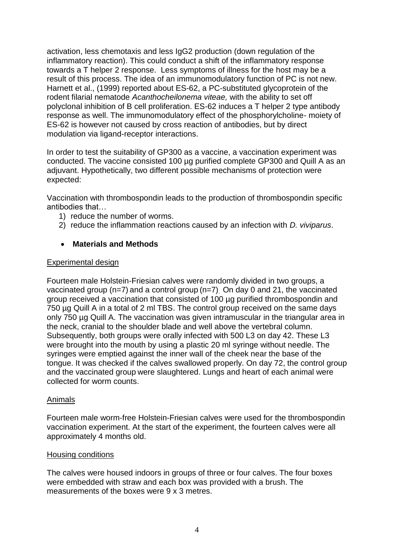activation, less chemotaxis and less IgG2 production (down regulation of the inflammatory reaction). This could conduct a shift of the inflammatory response towards a T helper 2 response. Less symptoms of illness for the host may be a result of this process. The idea of an immunomodulatory function of PC is not new. Harnett et al., (1999) reported about ES-62, a PC-substituted glycoprotein of the rodent filarial nematode *Acanthocheilonema viteae,* with the ability to set off polyclonal inhibition of B cell proliferation. ES-62 induces a T helper 2 type antibody response as well. The immunomodulatory effect of the phosphorylcholine- moiety of ES-62 is however not caused by cross reaction of antibodies, but by direct modulation via ligand-receptor interactions.

In order to test the suitability of GP300 as a vaccine, a vaccination experiment was conducted. The vaccine consisted 100 µg purified complete GP300 and Quill A as an adjuvant. Hypothetically, two different possible mechanisms of protection were expected:

Vaccination with thrombospondin leads to the production of thrombospondin specific antibodies that…

- 1) reduce the number of worms.
- 2) reduce the inflammation reactions caused by an infection with *D. viviparus*.

# **Materials and Methods**

### Experimental design

Fourteen male Holstein-Friesian calves were randomly divided in two groups, a vaccinated group (n=7) and a control group (n=7). On day 0 and 21, the vaccinated group received a vaccination that consisted of 100 µg purified thrombospondin and 750 µg Quill A in a total of 2 ml TBS. The control group received on the same days only 750 µg Quill A. The vaccination was given intramuscular in the triangular area in the neck, cranial to the shoulder blade and well above the vertebral column. Subsequently, both groups were orally infected with 500 L3 on day 42. These L3 were brought into the mouth by using a plastic 20 ml syringe without needle. The syringes were emptied against the inner wall of the cheek near the base of the tongue. It was checked if the calves swallowed properly. On day 72, the control group and the vaccinated group were slaughtered. Lungs and heart of each animal were collected for worm counts.

# Animals

Fourteen male worm-free Holstein-Friesian calves were used for the thrombospondin vaccination experiment. At the start of the experiment, the fourteen calves were all approximately 4 months old.

#### Housing conditions

The calves were housed indoors in groups of three or four calves. The four boxes were embedded with straw and each box was provided with a brush. The measurements of the boxes were 9 x 3 metres.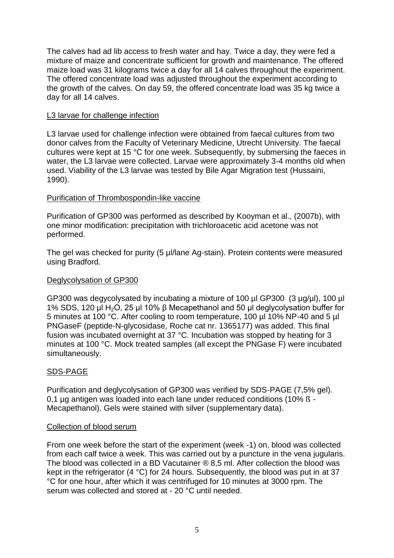The calves had ad lib access to fresh water and hay. Twice a day, they were fed a mixture of maize and concentrate sufficient for growth and maintenance. The offered maize load was 31 kilograms twice a day for all 14 calves throughout the experiment. The offered concentrate load was adjusted throughout the experiment according to the growth of the calves. On day 59, the offered concentrate load was 35 kg twice a day for all 14 calves.

# L3 larvae for challenge infection

L3 larvae used for challenge infection were obtained from faecal cultures from two donor calves from the Faculty of Veterinary Medicine, Utrecht University. The faecal cultures were kept at 15 °C for one week. Subsequently, by submersing the faeces in water, the L3 larvae were collected. Larvae were approximately 3-4 months old when used. Viability of the L3 larvae was tested by Bile Agar Migration test (Hussaini, 1990).

# Purification of Thrombospondin-like vaccine

Purification of GP300 was performed as described by Kooyman et al., (2007b), with one minor modification: precipitation with trichloroacetic acid acetone was not performed.

The gel was checked for purity (5 µl/lane Ag-stain). Protein contents were measured using Bradford.

# Deglycolysation of GP300

GP300 was degycolysated by incubating a mixture of 100 µl GP300 (3 µg/µl), 100 µl 1% SDS, 120 µl H2O, 25 µl 10% β Mecapethanol and 50 µl deglycolysation buffer for 5 minutes at 100 °C. After cooling to room temperature, 100 µl 10% NP-40 and 5 µl PNGaseF (peptide-N-glycosidase, Roche cat nr. 1365177) was added. This final fusion was incubated overnight at 37 °C. Incubation was stopped by heating for 3 minutes at 100 °C. Mock treated samples (all except the PNGase F) were incubated simultaneously.

# SDS-PAGE

Purification and deglycolysation of GP300 was verified by SDS-PAGE (7,5% gel). 0,1 µg antigen was loaded into each lane under reduced conditions (10% ß - Mecapethanol). Gels were stained with silver (supplementary data).

# Collection of blood serum

From one week before the start of the experiment (week -1) on, blood was collected from each calf twice a week. This was carried out by a puncture in the vena jugularis. The blood was collected in a BD Vacutainer ® 8,5 ml. After collection the blood was kept in the refrigerator (4 °C) for 24 hours. Subsequently, the blood was put in at 37 °C for one hour, after which it was centrifuged for 10 minutes at 3000 rpm. The serum was collected and stored at - 20 °C until needed.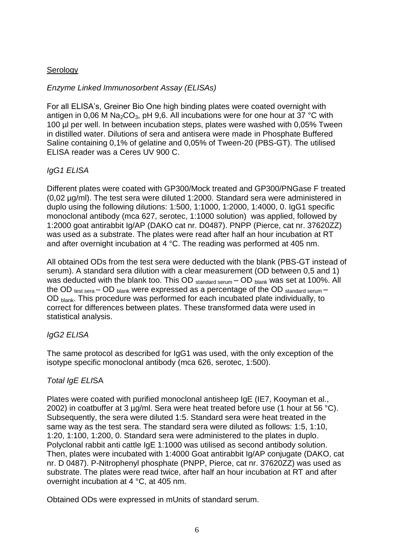# **Serology**

# *Enzyme Linked Immunosorbent Assay (ELISAs)*

For all ELISA's, Greiner Bio One high binding plates were coated overnight with antigen in 0,06 M Na<sub>2</sub>CO<sub>3</sub>, pH 9,6. All incubations were for one hour at 37 °C with 100 µl per well. In between incubation steps, plates were washed with 0,05% Tween in distilled water. Dilutions of sera and antisera were made in Phosphate Buffered Saline containing 0,1% of gelatine and 0,05% of Tween-20 (PBS-GT). The utilised ELISA reader was a Ceres UV 900 C.

# *IgG1 ELISA*

Different plates were coated with GP300/Mock treated and GP300/PNGase F treated (0,02 µg/ml). The test sera were diluted 1:2000. Standard sera were administered in duplo using the following dilutions: 1:500, 1:1000, 1:2000, 1:4000, 0. IgG1 specific monoclonal antibody (mca 627, serotec, 1:1000 solution) was applied, followed by 1:2000 goat antirabbit Ig/AP (DAKO cat nr. D0487). PNPP (Pierce, cat nr. 37620ZZ) was used as a substrate. The plates were read after half an hour incubation at RT and after overnight incubation at 4 °C. The reading was performed at 405 nm.

All obtained ODs from the test sera were deducted with the blank (PBS-GT instead of serum). A standard sera dilution with a clear measurement (OD between 0,5 and 1) was deducted with the blank too. This OD  $_{standard\; serum}$  – OD  $_{blank}$  was set at 100%. All the OD  $_{test \, sera}$  – OD  $_{blank}$  were expressed as a percentage of the OD  $_{standard \, serum}$  – OD blank. This procedure was performed for each incubated plate individually, to correct for differences between plates. These transformed data were used in statistical analysis.

# *IgG2 ELISA*

The same protocol as described for IgG1 was used, with the only exception of the isotype specific monoclonal antibody (mca 626, serotec, 1:500).

# *Total IgE ELI*SA

Plates were coated with purified monoclonal antisheep IgE (IE7, Kooyman et al., 2002) in coatbuffer at 3  $\mu$ g/ml. Sera were heat treated before use (1 hour at 56 °C). Subsequently, the sera were diluted 1:5. Standard sera were heat treated in the same way as the test sera. The standard sera were diluted as follows: 1:5, 1:10, 1:20, 1:100, 1:200, 0. Standard sera were administered to the plates in duplo. Polyclonal rabbit anti cattle IgE 1:1000 was utilised as second antibody solution. Then, plates were incubated with 1:4000 Goat antirabbit Ig/AP conjugate (DAKO, cat nr. D 0487). P-Nitrophenyl phosphate (PNPP, Pierce, cat nr. 37620ZZ) was used as substrate. The plates were read twice, after half an hour incubation at RT and after overnight incubation at 4 °C, at 405 nm.

Obtained ODs were expressed in mUnits of standard serum.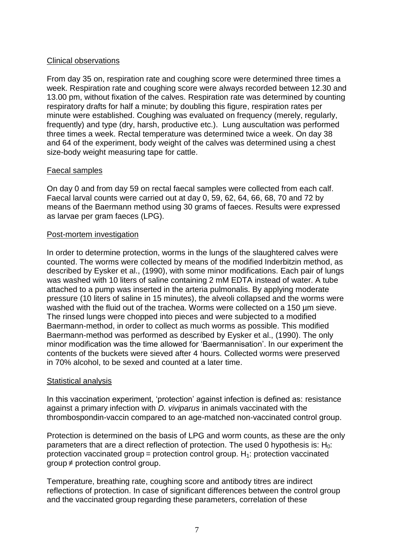# Clinical observations

From day 35 on, respiration rate and coughing score were determined three times a week. Respiration rate and coughing score were always recorded between 12.30 and 13.00 pm, without fixation of the calves. Respiration rate was determined by counting respiratory drafts for half a minute; by doubling this figure, respiration rates per minute were established. Coughing was evaluated on frequency (merely, regularly, frequently) and type (dry, harsh, productive etc.). Lung auscultation was performed three times a week. Rectal temperature was determined twice a week. On day 38 and 64 of the experiment, body weight of the calves was determined using a chest size-body weight measuring tape for cattle.

# Faecal samples

On day 0 and from day 59 on rectal faecal samples were collected from each calf. Faecal larval counts were carried out at day 0, 59, 62, 64, 66, 68, 70 and 72 by means of the Baermann method using 30 grams of faeces. Results were expressed as larvae per gram faeces (LPG).

# Post-mortem investigation

In order to determine protection, worms in the lungs of the slaughtered calves were counted. The worms were collected by means of the modified Inderbitzin method, as described by Eysker et al., (1990), with some minor modifications. Each pair of lungs was washed with 10 liters of saline containing 2 mM EDTA instead of water. A tube attached to a pump was inserted in the arteria pulmonalis. By applying moderate pressure (10 liters of saline in 15 minutes), the alveoli collapsed and the worms were washed with the fluid out of the trachea. Worms were collected on a 150 µm sieve. The rinsed lungs were chopped into pieces and were subjected to a modified Baermann-method, in order to collect as much worms as possible. This modified Baermann-method was performed as described by Eysker et al., (1990). The only minor modification was the time allowed for 'Baermannisation'. In our experiment the contents of the buckets were sieved after 4 hours. Collected worms were preserved in 70% alcohol, to be sexed and counted at a later time.

# Statistical analysis

In this vaccination experiment, 'protection' against infection is defined as: resistance against a primary infection with *D. viviparus* in animals vaccinated with the thrombospondin-vaccin compared to an age-matched non-vaccinated control group.

Protection is determined on the basis of LPG and worm counts, as these are the only parameters that are a direct reflection of protection. The used 0 hypothesis is:  $H_0$ : protection vaccinated group = protection control group.  $H_1$ : protection vaccinated group ≠ protection control group.

Temperature, breathing rate, coughing score and antibody titres are indirect reflections of protection. In case of significant differences between the control group and the vaccinated group regarding these parameters, correlation of these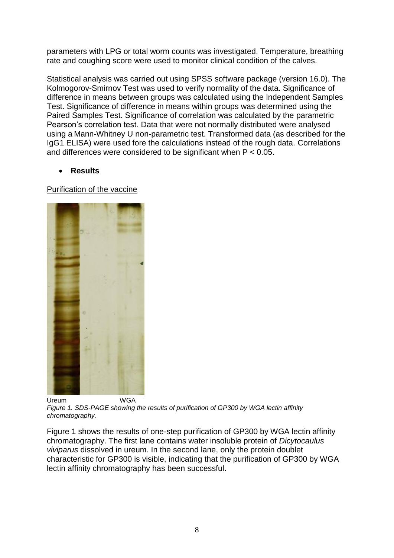parameters with LPG or total worm counts was investigated. Temperature, breathing rate and coughing score were used to monitor clinical condition of the calves.

Statistical analysis was carried out using SPSS software package (version 16.0). The Kolmogorov-Smirnov Test was used to verify normality of the data. Significance of difference in means between groups was calculated using the Independent Samples Test. Significance of difference in means within groups was determined using the Paired Samples Test. Significance of correlation was calculated by the parametric Pearson's correlation test. Data that were not normally distributed were analysed using a Mann-Whitney U non-parametric test. Transformed data (as described for the IgG1 ELISA) were used fore the calculations instead of the rough data. Correlations and differences were considered to be significant when  $P < 0.05$ .

# **Results**

Purification of the vaccine



*Figure 1. SDS-PAGE showing the results of purification of GP300 by WGA lectin affinity chromatography.*

Figure 1 shows the results of one-step purification of GP300 by WGA lectin affinity chromatography. The first lane contains water insoluble protein of *Dicytocaulus viviparus* dissolved in ureum. In the second lane, only the protein doublet characteristic for GP300 is visible, indicating that the purification of GP300 by WGA lectin affinity chromatography has been successful.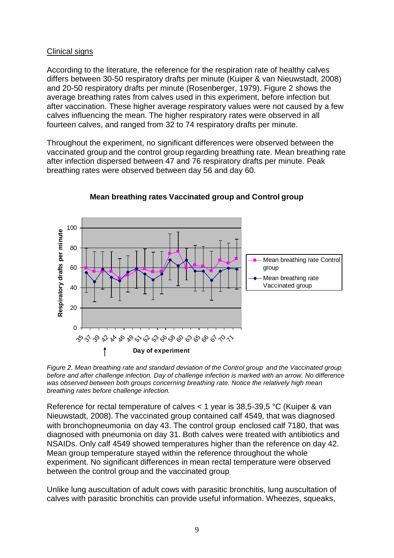# Clinical signs

According to the literature, the reference for the respiration rate of healthy calves differs between 30-50 respiratory drafts per minute (Kuiper & van Nieuwstadt, 2008) and 20-50 respiratory drafts per minute (Rosenberger, 1979). Figure 2 shows the average breathing rates from calves used in this experiment, before infection but after vaccination. These higher average respiratory values were not caused by a few calves influencing the mean. The higher respiratory rates were observed in all fourteen calves, and ranged from 32 to 74 respiratory drafts per minute.

Throughout the experiment, no significant differences were observed between the vaccinated group and the control group regarding breathing rate. Mean breathing rate after infection dispersed between 47 and 76 respiratory drafts per minute. Peak breathing rates were observed between day 56 and day 60.



# **Mean breathing rates Vaccinated group and Control group**

*Figure 2. Mean breathing rate and standard deviation of the Control group and the Vaccinated group, before and after challenge infection. Day of challenge infection is marked with an arrow. No difference*  was observed between both groups concerning breathing rate. Notice the relatively high mean *breathing rates before challenge infection.* 

Reference for rectal temperature of calves < 1 year is 38,5-39,5 °C (Kuiper & van Nieuwstadt, 2008). The vaccinated group contained calf 4549, that was diagnosed with bronchopneumonia on day 43. The control group enclosed calf 7180, that was diagnosed with pneumonia on day 31. Both calves were treated with antibiotics and NSAIDs. Only calf 4549 showed temperatures higher than the reference on day 42. Mean group temperature stayed within the reference throughout the whole experiment. No significant differences in mean rectal temperature were observed between the control group and the vaccinated group.

Unlike lung auscultation of adult cows with parasitic bronchitis, lung auscultation of calves with parasitic bronchitis can provide useful information. Wheezes, squeaks,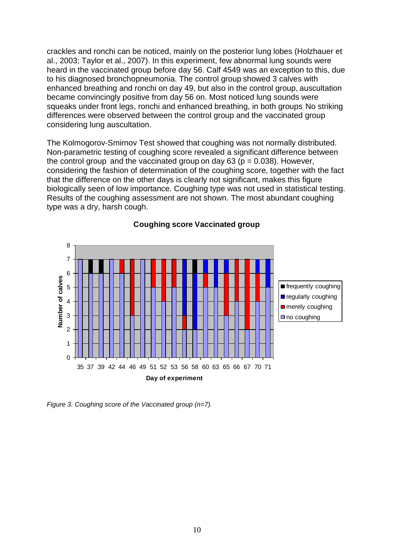crackles and ronchi can be noticed, mainly on the posterior lung lobes (Holzhauer et al., 2003; Taylor et al., 2007). In this experiment, few abnormal lung sounds were heard in the vaccinated group before day 56. Calf 4549 was an exception to this, due to his diagnosed bronchopneumonia. The control group showed 3 calves with enhanced breathing and ronchi on day 49, but also in the control group, auscultation became convincingly positive from day 56 on. Most noticed lung sounds were squeaks under front legs, ronchi and enhanced breathing, in both groups. No striking differences were observed between the control group and the vaccinated group considering lung auscultation.

The Kolmogorov-Smirnov Test showed that coughing was not normally distributed. Non-parametric testing of coughing score revealed a significant difference between the control group and the vaccinated group on day  $63$  ( $p = 0.038$ ). However, considering the fashion of determination of the coughing score, together with the fact that the difference on the other days is clearly not significant, makes this figure biologically seen of low importance. Coughing type was not used in statistical testing. Results of the coughing assessment are not shown. The most abundant coughing type was a dry, harsh cough.



### **Coughing score Vaccinated group**

*Figure 3. Coughing score of the Vaccinated group (n=7).*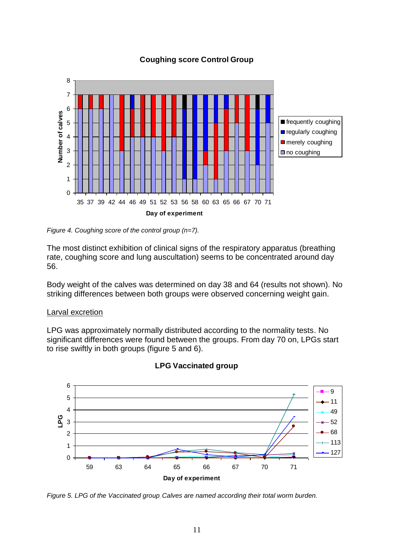# **Coughing score Control Group**



*Figure 4. Coughing score of the control group (n=7).*

The most distinct exhibition of clinical signs of the respiratory apparatus (breathing rate, coughing score and lung auscultation) seems to be concentrated around day 56.

Body weight of the calves was determined on day 38 and 64 (results not shown). No striking differences between both groups were observed concerning weight gain.

#### Larval excretion

LPG was approximately normally distributed according to the normality tests. No significant differences were found between the groups. From day 70 on, LPGs start to rise swiftly in both groups (figure 5 and 6).



#### **LPG Vaccinated group**

*Figure 5. LPG of the Vaccinated group. Calves are named according their total worm burden.*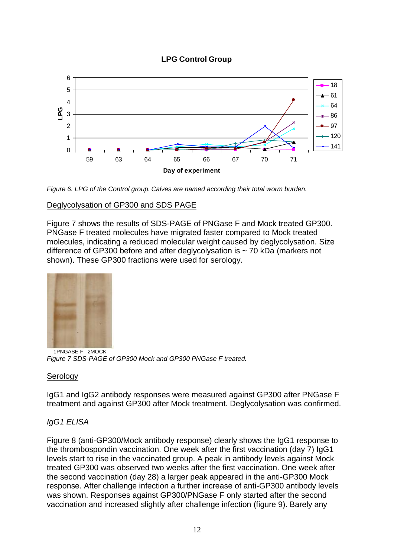# **LPG Control Group**



*Figure 6. LPG of the Control group. Calves are named according their total worm burden.* 

# Deglycolysation of GP300 and SDS PAGE

Figure 7 shows the results of SDS-PAGE of PNGase F and Mock treated GP300. PNGase F treated molecules have migrated faster compared to Mock treated molecules, indicating a reduced molecular weight caused by deglycolysation. Size difference of GP300 before and after deglycolysation is  $\sim$  70 kDa (markers not shown). These GP300 fractions were used for serology.



 1PNGASE F 2MOCK *Figure 7 SDS-PAGE of GP300 Mock and GP300 PNGase F treated.* 

# **Serology**

IgG1 and IgG2 antibody responses were measured against GP300 after PNGase F treatment and against GP300 after Mock treatment. Deglycolysation was confirmed.

# *IgG1 ELISA*

Figure 8 (anti-GP300/Mock antibody response) clearly shows the IgG1 response to the thrombospondin vaccination. One week after the first vaccination (day 7) IgG1 levels start to rise in the vaccinated group. A peak in antibody levels against Mock treated GP300 was observed two weeks after the first vaccination. One week after the second vaccination (day 28) a larger peak appeared in the anti-GP300 Mock response. After challenge infection a further increase of anti-GP300 antibody levels was shown. Responses against GP300/PNGase F only started after the second vaccination and increased slightly after challenge infection (figure 9). Barely any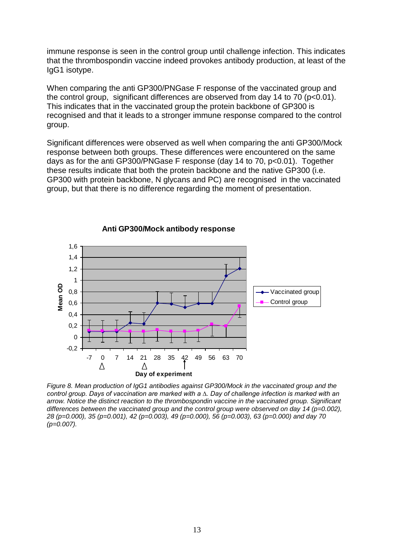immune response is seen in the control group until challenge infection. This indicates that the thrombospondin vaccine indeed provokes antibody production, at least of the IgG1 isotype.

When comparing the anti GP300/PNGase F response of the vaccinated group and the control group, significant differences are observed from day 14 to 70 (p<0.01). This indicates that in the vaccinated group the protein backbone of GP300 is recognised and that it leads to a stronger immune response compared to the control group.

Significant differences were observed as well when comparing the anti GP300/Mock response between both groups. These differences were encountered on the same days as for the anti GP300/PNGase F response (day 14 to 70, p<0.01). Together these results indicate that both the protein backbone and the native GP300 (i.e. GP300 with protein backbone, N glycans and PC) are recognised in the vaccinated group, but that there is no difference regarding the moment of presentation.



**Anti GP300/Mock antibody response** 

*Figure 8. Mean production of IgG1 antibodies against GP300/Mock in the vaccinated group and the control group. Days of vaccination are marked with a ∆. Day of challenge infection is marked with an arrow. Notice the distinct reaction to the thrombospondin vaccine in the vaccinated group. Significant differences between the vaccinated group and the control group were observed on day 14 (p=0.002), 28 (p=0.000), 35 (p=0.001), 42 (p=0.003), 49 (p=0.000), 56 (p=0.003), 63 (p=0.000) and day 70 (p=0.007).*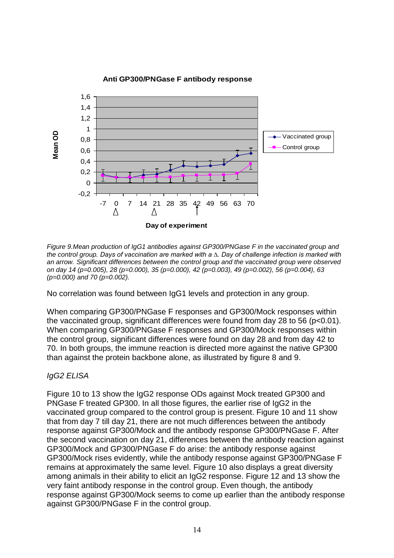

#### **Anti GP300/PNGase F antibody response**

*Figure 9.Mean production of IgG1 antibodies against GP300/PNGase F in the vaccinated group and the control group. Days of vaccination are marked with a ∆. Day of challenge infection is marked with an arrow. Significant differences between the control group and the vaccinated group were observed on day 14 (p=0.005), 28 (p=0.000), 35 (p=0.000), 42 (p=0.003), 49 (p=0.002), 56 (p=0.004), 63 (p=0.000) and 70 (p=0.002).*

No correlation was found between IgG1 levels and protection in any group.

When comparing GP300/PNGase F responses and GP300/Mock responses within the vaccinated group, significant differences were found from day 28 to 56 (p<0.01). When comparing GP300/PNGase F responses and GP300/Mock responses within the control group, significant differences were found on day 28 and from day 42 to 70. In both groups, the immune reaction is directed more against the native GP300 than against the protein backbone alone, as illustrated by figure 8 and 9.

# *IgG2 ELISA*

Figure 10 to 13 show the IgG2 response ODs against Mock treated GP300 and PNGase F treated GP300. In all those figures, the earlier rise of IgG2 in the vaccinated group compared to the control group is present. Figure 10 and 11 show that from day 7 till day 21, there are not much differences between the antibody response against GP300/Mock and the antibody response GP300/PNGase F. After the second vaccination on day 21, differences between the antibody reaction against GP300/Mock and GP300/PNGase F do arise: the antibody response against GP300/Mock rises evidently, while the antibody response against GP300/PNGase F remains at approximately the same level. Figure 10 also displays a great diversity among animals in their ability to elicit an IgG2 response. Figure 12 and 13 show the very faint antibody response in the control group. Even though, the antibody response against GP300/Mock seems to come up earlier than the antibody response against GP300/PNGase F in the control group.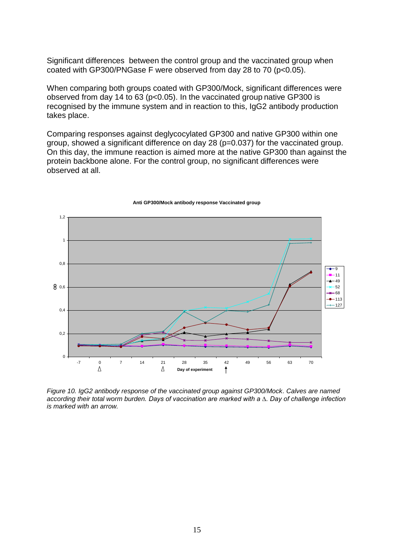Significant differences between the control group and the vaccinated group when coated with GP300/PNGase F were observed from day 28 to 70 (p<0.05).

When comparing both groups coated with GP300/Mock, significant differences were observed from day 14 to 63 (p<0.05). In the vaccinated group native GP300 is recognised by the immune system and in reaction to this, IgG2 antibody production takes place.

Comparing responses against deglycocylated GP300 and native GP300 within one group, showed a significant difference on day 28 (p=0.037) for the vaccinated group. On this day, the immune reaction is aimed more at the native GP300 than against the protein backbone alone. For the control group, no significant differences were observed at all.



#### **Anti GP300/Mock antibody response Vaccinated group**

*Figure 10. IgG2 antibody response of the vaccinated group against GP300/Mock. Calves are named according their total worm burden. Days of vaccination are marked with a ∆. Day of challenge infection is marked with an arrow.*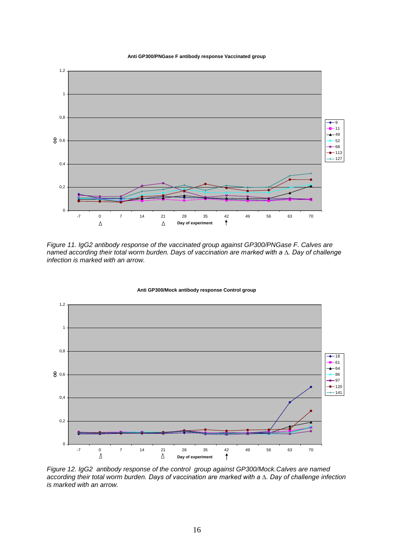**Anti GP300/PNGase F antibody response Vaccinated group**



*Figure 11. IgG2 antibody response of the vaccinated group against GP300/PNGase F. Calves are named according their total worm burden. Days of vaccination are marked with a ∆. Day of challenge infection is marked with an arrow.*



**Anti GP300/Mock antibody response Control group**

*Figure 12. IgG2 antibody response of the control group against GP300/Mock.Calves are named according their total worm burden. Days of vaccination are marked with a ∆. Day of challenge infection is marked with an arrow.*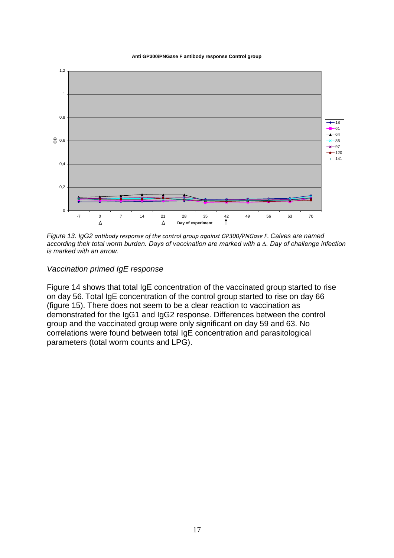**Anti GP300/PNGase F antibody response Control group**



*Figure 13. IgG2 antibody response of the control group against GP300/PNGase F. Calves are named according their total worm burden. Days of vaccination are marked with a ∆. Day of challenge infection is marked with an arrow.*

*Vaccination primed IgE response*

Figure 14 shows that total IgE concentration of the vaccinated group started to rise on day 56. Total IgE concentration of the control group started to rise on day 66 (figure 15). There does not seem to be a clear reaction to vaccination as demonstrated for the IgG1 and IgG2 response. Differences between the control group and the vaccinated group were only significant on day 59 and 63. No correlations were found between total IgE concentration and parasitological parameters (total worm counts and LPG).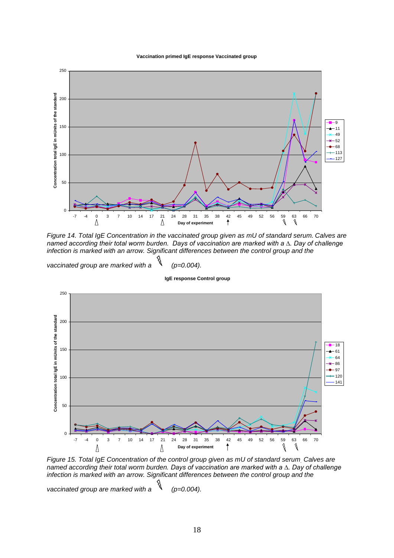#### **Vaccination primed IgE response Vaccinated group**



*Figure 14. Total IgE Concentration in the vaccinated group given as mU of standard serum. Calves are named according their total worm burden. Days of vaccination are marked with a ∆. Day of challenge infection is marked with an arrow. Significant differences between the control group and the* 

*vaccinated group are marked with a (p=0.004).*

 **IgE response Control group**



*Figure 15. Total IgE Concentration of the control group given as mU of standard serum. Calves are named according their total worm burden. Days of vaccination are marked with a ∆. Day of challenge infection is marked with an arrow. Significant differences between the control group and the* 

vaccinated group are marked with a  $\sqrt[3]{\ }$  (p=0.004).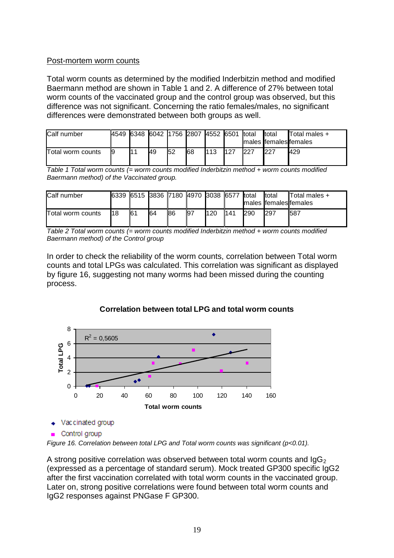# Post-mortem worm counts

Total worm counts as determined by the modified Inderbitzin method and modified Baermann method are shown in Table 1 and 2. A difference of 27% between total worm counts of the vaccinated group and the control group was observed, but this difference was not significant. Concerning the ratio females/males, no significant differences were demonstrated between both groups as well.

| Calf number       | 4549 |     |     | 6348 6042 1756 2807 4552 6501 total |     |     | total<br>Imales Ifemales females | Total males + |
|-------------------|------|-----|-----|-------------------------------------|-----|-----|----------------------------------|---------------|
| Total worm counts |      | 149 | 152 | 68                                  | 113 | 227 | 227                              | 429           |

*Table 1 Total worm counts (= worm counts modified Inderbitzin method + worm counts modified Baermann method) of the Vaccinated group.*

| Calf number       |    | 6339 6515 3836 7180 4970 3038 6577 |    |    |             |     |     | total      | total<br>males females females | $\blacksquare$ Total males + |
|-------------------|----|------------------------------------|----|----|-------------|-----|-----|------------|--------------------------------|------------------------------|
| Total worm counts | 18 | 161                                | 64 | 86 | <b>1</b> 97 | 120 | 141 | <b>290</b> | 297                            | 1587                         |

*Table 2 Total worm counts (= worm counts modified Inderbitzin method + worm counts modified Baermann method) of the Control group*

In order to check the reliability of the worm counts, correlation between Total worm counts and total LPGs was calculated. This correlation was significant as displayed by figure 16, suggesting not many worms had been missed during the counting process.



# **Correlation between total LPG and total worm counts**

 $\triangleleft$  Vaccinated group

*Figure 16. Correlation between total LPG and Total worm counts was significant (p<0.01).*

A strong positive correlation was observed between total worm counts and  $\lg G_2$ (expressed as a percentage of standard serum). Mock treated GP300 specific IgG2 after the first vaccination correlated with total worm counts in the vaccinated group. Later on, strong positive correlations were found between total worm counts and IgG2 responses against PNGase F GP300.

<sup>■</sup> Control group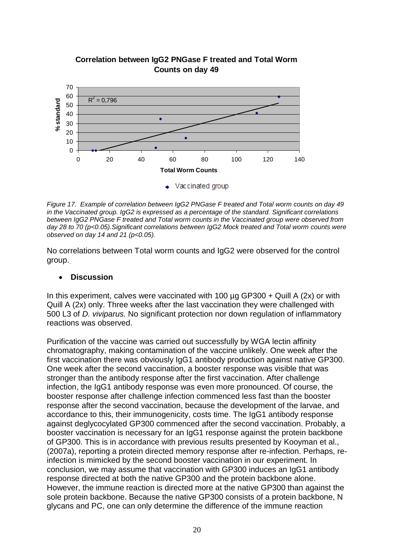

# **Correlation between IgG2 PNGase F treated and Total Worm Counts on day 49**

*Figure 17. Example of correlation between IgG2 PNGase F treated and Total worm counts on day 49 in the Vaccinated group. IgG2 is expressed as a percentage of the standard. Significant correlations between IgG2 PNGase F treated and Total worm counts in the Vaccinated group were observed from day 28 to 70 (p<0.05).Significant correlations between IgG2 Mock treated and Total worm counts were observed on day 14 and 21 (p<0.05).*

No correlations between Total worm counts and IgG2 were observed for the control group..

# **Discussion**

In this experiment, calves were vaccinated with 100  $\mu$ g GP300 + Quill A (2x) or with Quill A (2x) only. Three weeks after the last vaccination they were challenged with 500 L3 of *D. viviparus.* No significant protection nor down regulation of inflammatory reactions was observed.

Purification of the vaccine was carried out successfully by WGA lectin affinity chromatography, making contamination of the vaccine unlikely. One week after the first vaccination there was obviously IgG1 antibody production against native GP300. One week after the second vaccination, a booster response was visible that was stronger than the antibody response after the first vaccination. After challenge infection, the IgG1 antibody response was even more pronounced. Of course, the booster response after challenge infection commenced less fast than the booster response after the second vaccination, because the development of the larvae, and accordance to this, their immunogenicity, costs time. The IgG1 antibody response against deglycocylated GP300 commenced after the second vaccination. Probably, a booster vaccination is necessary for an IgG1 response against the protein backbone of GP300. This is in accordance with previous results presented by Kooyman et al., (2007a), reporting a protein directed memory response after re-infection. Perhaps, reinfection is mimicked by the second booster vaccination in our experiment. In conclusion, we may assume that vaccination with GP300 induces an IgG1 antibody response directed at both the native GP300 and the protein backbone alone. However, the immune reaction is directed more at the native GP300 than against the sole protein backbone. Because the native GP300 consists of a protein backbone, N glycans and PC, one can only determine the difference of the immune reaction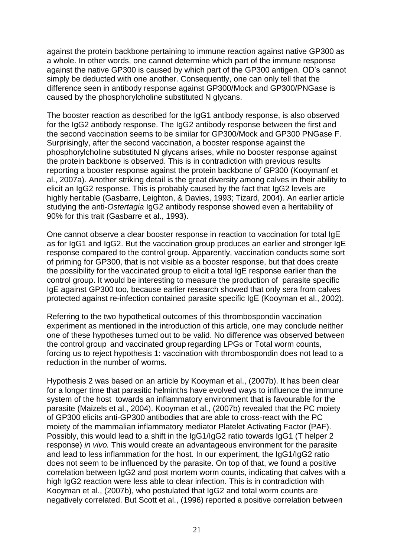against the protein backbone pertaining to immune reaction against native GP300 as a whole. In other words, one cannot determine which part of the immune response against the native GP300 is caused by which part of the GP300 antigen. OD's cannot simply be deducted with one another. Consequently, one can only tell that the difference seen in antibody response against GP300/Mock and GP300/PNGase is caused by the phosphorylcholine substituted N glycans.

The booster reaction as described for the IgG1 antibody response, is also observed for the IgG2 antibody response. The IgG2 antibody response between the first and the second vaccination seems to be similar for GP300/Mock and GP300 PNGase F. Surprisingly, after the second vaccination, a booster response against the phosphorylcholine substituted N glycans arises, while no booster response against the protein backbone is observed. This is in contradiction with previous results reporting a booster response against the protein backbone of GP300 (Kooymanf et al., 2007a). Another striking detail is the great diversity among calves in their ability to elicit an IgG2 response. This is probably caused by the fact that IgG2 levels are highly heritable (Gasbarre, Leighton, & Davies, 1993; Tizard, 2004). An earlier article studying the anti-*Ostertagia* IgG2 antibody response showed even a heritability of 90% for this trait (Gasbarre et al., 1993).

One cannot observe a clear booster response in reaction to vaccination for total IgE as for IgG1 and IgG2. But the vaccination group produces an earlier and stronger IgE response compared to the control group. Apparently, vaccination conducts some sort of priming for GP300, that is not visible as a booster response, but that does create the possibility for the vaccinated group to elicit a total IgE response earlier than the control group. It would be interesting to measure the production of parasite specific IgE against GP300 too, because earlier research showed that only sera from calves protected against re-infection contained parasite specific IgE (Kooyman et al., 2002).

Referring to the two hypothetical outcomes of this thrombospondin vaccination experiment as mentioned in the introduction of this article, one may conclude neither one of these hypotheses turned out to be valid. No difference was observed between the control group and vaccinated group regarding LPGs or Total worm counts, forcing us to reject hypothesis 1: vaccination with thrombospondin does not lead to a reduction in the number of worms.

Hypothesis 2 was based on an article by Kooyman et al., (2007b). It has been clear for a longer time that parasitic helminths have evolved ways to influence the immune system of the host towards an inflammatory environment that is favourable for the parasite (Maizels et al., 2004). Kooyman et al., (2007b) revealed that the PC moiety of GP300 elicits anti-GP300 antibodies that are able to cross-react with the PC moiety of the mammalian inflammatory mediator Platelet Activating Factor (PAF). Possibly, this would lead to a shift in the IgG1/IgG2 ratio towards IgG1 (T helper 2 response) *in vivo.* This would create an advantageous environment for the parasite and lead to less inflammation for the host. In our experiment, the IgG1/IgG2 ratio does not seem to be influenced by the parasite. On top of that, we found a positive correlation between IgG2 and post mortem worm counts, indicating that calves with a high IgG2 reaction were less able to clear infection. This is in contradiction with Kooyman et al., (2007b), who postulated that IgG2 and total worm counts are negatively correlated. But Scott et al., (1996) reported a positive correlation between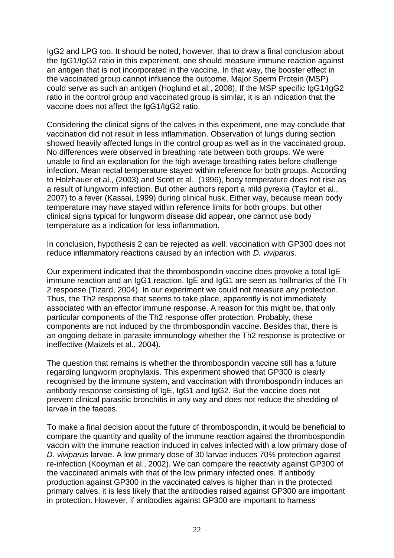IgG2 and LPG too. It should be noted, however, that to draw a final conclusion about the IgG1/IgG2 ratio in this experiment, one should measure immune reaction against an antigen that is not incorporated in the vaccine. In that way, the booster effect in the vaccinated group cannot influence the outcome. Major Sperm Protein (MSP) could serve as such an antigen (Hoglund et al., 2008). If the MSP specific IgG1/IgG2 ratio in the control group and vaccinated group is similar, it is an indication that the vaccine does not affect the IgG1/IgG2 ratio.

Considering the clinical signs of the calves in this experiment, one may conclude that vaccination did not result in less inflammation. Observation of lungs during section showed heavily affected lungs in the control group as well as in the vaccinated group. No differences were observed in breathing rate between both groups. We were unable to find an explanation for the high average breathing rates before challenge infection. Mean rectal temperature stayed within reference for both groups. According to Holzhauer et al., (2003) and Scott et al., (1996), body temperature does not rise as a result of lungworm infection. But other authors report a mild pyrexia (Taylor et al., 2007) to a fever (Kassai, 1999) during clinical husk. Either way, because mean body temperature may have stayed within reference limits for both groups, but other clinical signs typical for lungworm disease did appear, one cannot use body temperature as a indication for less inflammation.

In conclusion, hypothesis 2 can be rejected as well: vaccination with GP300 does not reduce inflammatory reactions caused by an infection with *D. viviparus.* 

Our experiment indicated that the thrombospondin vaccine does provoke a total IgE immune reaction and an IgG1 reaction. IgE and IgG1 are seen as hallmarks of the Th 2 response (Tizard, 2004). In our experiment we could not measure any protection. Thus, the Th2 response that seems to take place, apparently is not immediately associated with an effector immune response. A reason for this might be, that only particular components of the Th2 response offer protection. Probably, these components are not induced by the thrombospondin vaccine. Besides that, there is an ongoing debate in parasite immunology whether the Th2 response is protective or ineffective (Maizels et al., 2004).

The question that remains is whether the thrombospondin vaccine still has a future regarding lungworm prophylaxis. This experiment showed that GP300 is clearly recognised by the immune system, and vaccination with thrombospondin induces an antibody response consisting of IgE, IgG1 and IgG2. But the vaccine does not prevent clinical parasitic bronchitis in any way and does not reduce the shedding of larvae in the faeces.

To make a final decision about the future of thrombospondin, it would be beneficial to compare the quantity and quality of the immune reaction against the thrombospondin vaccin with the immune reaction induced in calves infected with a low primary dose of *D. viviparus* larvae. A low primary dose of 30 larvae induces 70% protection against re-infection (Kooyman et al., 2002). We can compare the reactivity against GP300 of the vaccinated animals with that of the low primary infected ones. If antibody production against GP300 in the vaccinated calves is higher than in the protected primary calves, it is less likely that the antibodies raised against GP300 are important in protection. However, if antibodies against GP300 are important to harness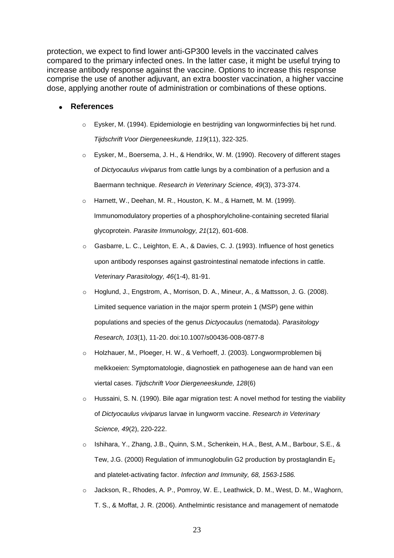protection, we expect to find lower anti-GP300 levels in the vaccinated calves compared to the primary infected ones. In the latter case, it might be useful trying to increase antibody response against the vaccine. Options to increase this response comprise the use of another adjuvant, an extra booster vaccination, a higher vaccine dose, applying another route of administration or combinations of these options.

#### **References**

- o Eysker, M. (1994). Epidemiologie en bestrijding van longworminfecties bij het rund. *Tijdschrift Voor Diergeneeskunde, 119*(11), 322-325.
- o Eysker, M., Boersema, J. H., & Hendrikx, W. M. (1990). Recovery of different stages of *Dictyocaulus viviparus* from cattle lungs by a combination of a perfusion and a Baermann technique. *Research in Veterinary Science, 49*(3), 373-374.
- Harnett, W., Deehan, M. R., Houston, K. M., & Harnett, M. M. (1999). Immunomodulatory properties of a phosphorylcholine-containing secreted filarial glycoprotein. *Parasite Immunology, 21*(12), 601-608.
- o Gasbarre, L. C., Leighton, E. A., & Davies, C. J. (1993). Influence of host genetics upon antibody responses against gastrointestinal nematode infections in cattle. *Veterinary Parasitology, 46*(1-4), 81-91.
- o Hoglund, J., Engstrom, A., Morrison, D. A., Mineur, A., & Mattsson, J. G. (2008). Limited sequence variation in the major sperm protein 1 (MSP) gene within populations and species of the genus *Dictyocaulus* (nematoda). *Parasitology Research, 103*(1), 11-20. doi:10.1007/s00436-008-0877-8
- o Holzhauer, M., Ploeger, H. W., & Verhoeff, J. (2003). Longwormproblemen bij melkkoeien: Symptomatologie, diagnostiek en pathogenese aan de hand van een viertal cases. *Tijdschrift Voor Diergeneeskunde, 128*(6)
- o Hussaini, S. N. (1990). Bile agar migration test: A novel method for testing the viability of *Dictyocaulus viviparus* larvae in lungworm vaccine. *Research in Veterinary Science, 49*(2), 220-222.
- o Ishihara, Y., Zhang, J.B., Quinn, S.M., Schenkein, H.A., Best, A.M., Barbour, S.E., & Tew, J.G. (2000) Regulation of immunoglobulin G2 production by prostaglandin  $E_2$ and platelet-activating factor. *Infection and Immunity, 68, 1563-1586.*
- o Jackson, R., Rhodes, A. P., Pomroy, W. E., Leathwick, D. M., West, D. M., Waghorn, T. S., & Moffat, J. R. (2006). Anthelmintic resistance and management of nematode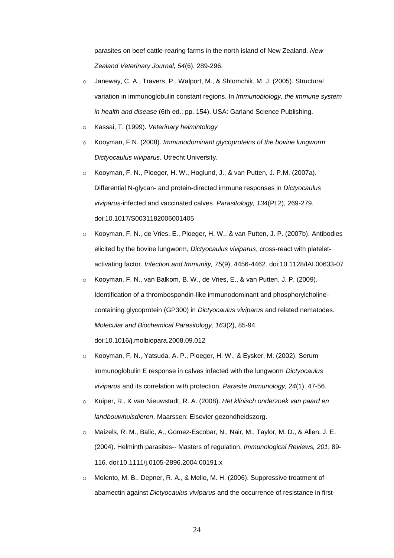parasites on beef cattle-rearing farms in the north island of New Zealand. *New Zealand Veterinary Journal, 54*(6), 289-296.

- Janeway, C. A., Travers, P., Walport, M., & Shlomchik, M. J. (2005). Structural variation in immunoglobulin constant regions. In *Immunobiology, the immune system in health and disease* (6th ed., pp. 154). USA: Garland Science Publishing.
- o Kassai, T. (1999). *Veterinary helmintology*
- o Kooyman, F.N. (2008). *Immunodominant glycoproteins of the bovine lungworm Dictyocaulus viviparus.* Utrecht University.
- o Kooyman, F. N., Ploeger, H. W., Hoglund, J., & van Putten, J. P.M. (2007a). Differential N-glycan- and protein-directed immune responses in *Dictyocaulus viviparus*-infected and vaccinated calves. *Parasitology, 134*(Pt 2), 269-279. doi:10.1017/S0031182006001405
- o Kooyman, F. N., de Vries, E., Ploeger, H. W., & van Putten, J. P. (2007b). Antibodies elicited by the bovine lungworm, *Dictyocaulus viviparus*, cross-react with plateletactivating factor. *Infection and Immunity, 75*(9), 4456-4462. doi:10.1128/IAI.00633-07
- o Kooyman, F. N., van Balkom, B. W., de Vries, E., & van Putten, J. P. (2009). Identification of a thrombospondin-like immunodominant and phosphorylcholinecontaining glycoprotein (GP300) in *Dictyocaulus viviparus* and related nematodes. *Molecular and Biochemical Parasitology, 163*(2), 85-94. doi:10.1016/j.molbiopara.2008.09.012
- o Kooyman, F. N., Yatsuda, A. P., Ploeger, H. W., & Eysker, M. (2002). Serum immunoglobulin E response in calves infected with the lungworm *Dictyocaulus viviparus* and its correlation with protection. *Parasite Immunology, 24*(1), 47-56.
- o Kuiper, R., & van Nieuwstadt, R. A. (2008). *Het klinisch onderzoek van paard en landbouwhuisdieren*. Maarssen: Elsevier gezondheidszorg.
- o Maizels, R. M., Balic, A., Gomez-Escobar, N., Nair, M., Taylor, M. D., & Allen, J. E. (2004). Helminth parasites-- Masters of regulation. *Immunological Reviews, 201*, 89- 116. doi:10.1111/j.0105-2896.2004.00191.x
- $\circ$  Molento, M. B., Depner, R. A., & Mello, M. H. (2006). Suppressive treatment of abamectin against *Dictyocaulus viviparus* and the occurrence of resistance in first-